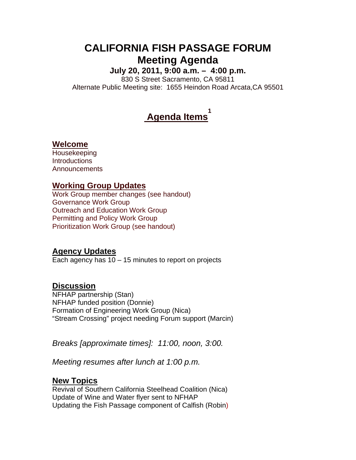# **CALIFORNIA FISH PASSAGE FORUM Meeting Agenda**

**July 20, 2011, 9:00 a.m. – 4:00 p.m.** 

830 S Street Sacramento, CA 95811 Alternate Public Meeting site: 1655 Heindon Road Arcata,CA 95501

#### **Agenda Items 1**

#### **Welcome**

Housekeeping **Introductions** Announcements

## **Working Group Updates**

Work Group member changes (see handout) Governance Work Group Outreach and Education Work Group Permitting and Policy Work Group Prioritization Work Group (see handout)

## **Agency Updates**

Each agency has  $10 - 15$  minutes to report on projects

## **Discussion**

NFHAP partnership (Stan) NFHAP funded position (Donnie) Formation of Engineering Work Group (Nica) "Stream Crossing" project needing Forum support (Marcin)

*Breaks [approximate times]: 11:00, noon, 3:00.* 

*Meeting resumes after lunch at 1:00 p.m.* 

## **New Topics**

Revival of Southern California Steelhead Coalition (Nica) Update of Wine and Water flyer sent to NFHAP Updating the Fish Passage component of Calfish (Robin)